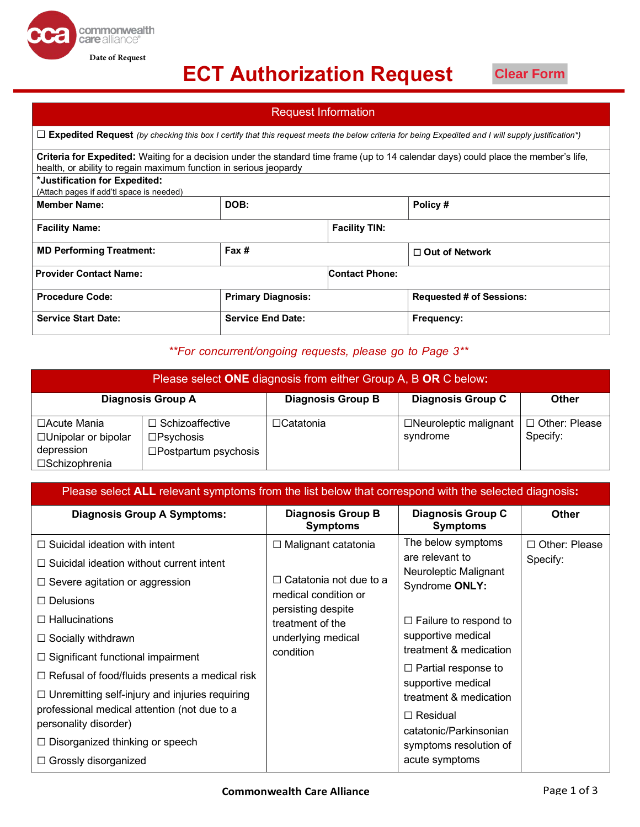## **ECT Authorization Request**

**Date of Request**

commonwealth<br>care alliance®

**Clear Form**

| <b>Request Information</b>                                                                                                                                                                                |       |                           |                       |                                 |  |  |
|-----------------------------------------------------------------------------------------------------------------------------------------------------------------------------------------------------------|-------|---------------------------|-----------------------|---------------------------------|--|--|
| $\Box$ Expedited Request (by checking this box I certify that this request meets the below criteria for being Expedited and I will supply justification*)                                                 |       |                           |                       |                                 |  |  |
| Criteria for Expedited: Waiting for a decision under the standard time frame (up to 14 calendar days) could place the member's life,<br>health, or ability to regain maximum function in serious jeopardy |       |                           |                       |                                 |  |  |
| *Justification for Expedited:<br>(Attach pages if add'tl space is needed)                                                                                                                                 |       |                           |                       |                                 |  |  |
| <b>Member Name:</b>                                                                                                                                                                                       | DOB:  |                           |                       | Policy#                         |  |  |
| <b>Facility Name:</b>                                                                                                                                                                                     |       |                           | <b>Facility TIN:</b>  |                                 |  |  |
| <b>MD Performing Treatment:</b>                                                                                                                                                                           | Fax # |                           |                       | $\Box$ Out of Network           |  |  |
| <b>Provider Contact Name:</b>                                                                                                                                                                             |       |                           | <b>Contact Phone:</b> |                                 |  |  |
| <b>Procedure Code:</b>                                                                                                                                                                                    |       | <b>Primary Diagnosis:</b> |                       | <b>Requested # of Sessions:</b> |  |  |
| <b>Service Start Date:</b>                                                                                                                                                                                |       | <b>Service End Date:</b>  |                       | Frequency:                      |  |  |

### *\*\*For concurrent/ongoing requests, please go to Page 3\*\**

| Please select ONE diagnosis from either Group A, B OR C below:       |                                                                                 |                          |                                          |                                  |  |
|----------------------------------------------------------------------|---------------------------------------------------------------------------------|--------------------------|------------------------------------------|----------------------------------|--|
|                                                                      | <b>Diagnosis Group A</b>                                                        | <b>Diagnosis Group B</b> | <b>Diagnosis Group C</b>                 | <b>Other</b>                     |  |
| □Acute Mania<br>□Unipolar or bipolar<br>depression<br>□Schizophrenia | $\Box$ Schizoaffective<br>$\square$ Psychosis<br>$\square$ Postpartum psychosis | $\Box$ Catatonia         | $\Box$ Neuroleptic malignant<br>syndrome | $\Box$ Other: Please<br>Specify: |  |

| Please select <b>ALL</b> relevant symptoms from the list below that correspond with the selected diagnosis: |                                                                                                                                                                |                                                                                                                                                                                                                                                                       |                      |  |
|-------------------------------------------------------------------------------------------------------------|----------------------------------------------------------------------------------------------------------------------------------------------------------------|-----------------------------------------------------------------------------------------------------------------------------------------------------------------------------------------------------------------------------------------------------------------------|----------------------|--|
| <b>Diagnosis Group A Symptoms:</b>                                                                          | <b>Diagnosis Group B</b><br><b>Symptoms</b>                                                                                                                    | Diagnosis Group C<br><b>Symptoms</b>                                                                                                                                                                                                                                  | <b>Other</b>         |  |
| $\Box$ Suicidal ideation with intent                                                                        | $\Box$ Malignant catatonia<br>Catatonia not due to a<br>П<br>medical condition or<br>persisting despite<br>treatment of the<br>underlying medical<br>condition | The below symptoms                                                                                                                                                                                                                                                    | $\Box$ Other: Please |  |
| $\Box$ Suicidal ideation without current intent                                                             |                                                                                                                                                                | are relevant to<br>Neuroleptic Malignant<br>Syndrome ONLY:<br>$\Box$ Failure to respond to<br>supportive medical<br>treatment & medication<br>$\Box$ Partial response to<br>supportive medical<br>treatment & medication<br>$\Box$ Residual<br>catatonic/Parkinsonian | Specify:             |  |
| $\Box$ Severe agitation or aggression                                                                       |                                                                                                                                                                |                                                                                                                                                                                                                                                                       |                      |  |
| $\Box$ Delusions                                                                                            |                                                                                                                                                                |                                                                                                                                                                                                                                                                       |                      |  |
| $\Box$ Hallucinations                                                                                       |                                                                                                                                                                |                                                                                                                                                                                                                                                                       |                      |  |
| $\Box$ Socially withdrawn                                                                                   |                                                                                                                                                                |                                                                                                                                                                                                                                                                       |                      |  |
| $\Box$ Significant functional impairment                                                                    |                                                                                                                                                                |                                                                                                                                                                                                                                                                       |                      |  |
| $\Box$ Refusal of food/fluids presents a medical risk                                                       |                                                                                                                                                                |                                                                                                                                                                                                                                                                       |                      |  |
| $\Box$ Unremitting self-injury and injuries requiring                                                       |                                                                                                                                                                |                                                                                                                                                                                                                                                                       |                      |  |
| professional medical attention (not due to a<br>personality disorder)                                       |                                                                                                                                                                |                                                                                                                                                                                                                                                                       |                      |  |
| $\Box$ Disorganized thinking or speech                                                                      |                                                                                                                                                                |                                                                                                                                                                                                                                                                       |                      |  |
| $\Box$ Grossly disorganized                                                                                 |                                                                                                                                                                | symptoms resolution of<br>acute symptoms                                                                                                                                                                                                                              |                      |  |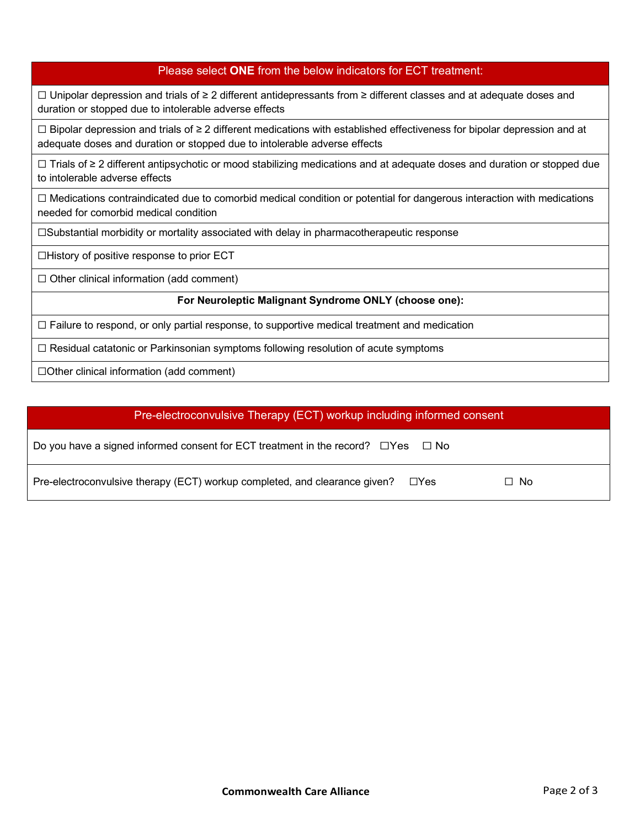### Please select **ONE** from the below indicators for ECT treatment:

☐ Unipolar depression and trials of ≥ 2 different antidepressants from ≥ different classes and at adequate doses and duration or stopped due to intolerable adverse effects

☐ Bipolar depression and trials of ≥ 2 different medications with established effectiveness for bipolar depression and at adequate doses and duration or stopped due to intolerable adverse effects

☐ Trials of ≥ 2 different antipsychotic or mood stabilizing medications and at adequate doses and duration or stopped due to intolerable adverse effects

☐ Medications contraindicated due to comorbid medical condition or potential for dangerous interaction with medications needed for comorbid medical condition

☐Substantial morbidity or mortality associated with delay in pharmacotherapeutic response

☐History of positive response to prior ECT

 $\Box$  Other clinical information (add comment)

#### **For Neuroleptic Malignant Syndrome ONLY (choose one):**

 $\Box$  Failure to respond, or only partial response, to supportive medical treatment and medication

☐ Residual catatonic or Parkinsonian symptoms following resolution of acute symptoms

☐Other clinical information (add comment)

# Pre-electroconvulsive Therapy (ECT) workup including informed consent Do you have a signed informed consent for ECT treatment in the record?  $\square$  Yes  $\square$  No Pre-electroconvulsive therapy (ECT) workup completed, and clearance given?  $□$ Yes  $□$  No